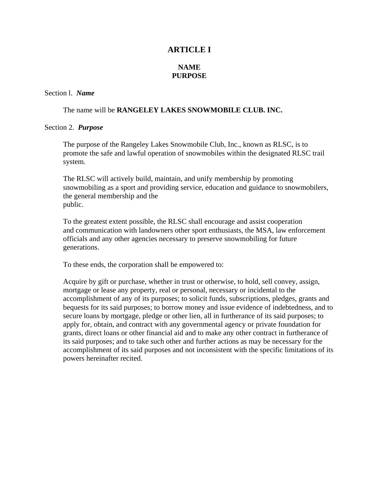# **ARTICLE I**

# **NAME PURPOSE**

#### Section l. *Name*

#### The name will be **RANGELEY LAKES SNOWMOBILE CLUB. INC.**

#### Section 2. *Purpose*

The purpose of the Rangeley Lakes Snowmobile Club, Inc., known as RLSC, is to promote the safe and lawful operation of snowmobiles within the designated RLSC trail system.

The RLSC will actively build, maintain, and unify membership by promoting snowmobiling as a sport and providing service, education and guidance to snowmobilers, the general membership and the public.

To the greatest extent possible, the RLSC shall encourage and assist cooperation and communication with landowners other sport enthusiasts, the MSA, law enforcement officials and any other agencies necessary to preserve snowmobiling for future generations.

To these ends, the corporation shall be empowered to:

Acquire by gift or purchase, whether in trust or otherwise, to hold, sell convey, assign, mortgage or lease any property, real or personal, necessary or incidental to the accomplishment of any of its purposes; to solicit funds, subscriptions, pledges, grants and bequests for its said purposes; to borrow money and issue evidence of indebtedness, and to secure loans by mortgage, pledge or other lien, all in furtherance of its said purposes; to apply for, obtain, and contract with any governmental agency or private foundation for grants, direct loans or other financial aid and to make any other contract in furtherance of its said purposes; and to take such other and further actions as may be necessary for the accomplishment of its said purposes and not inconsistent with the specific limitations of its powers hereinafter recited.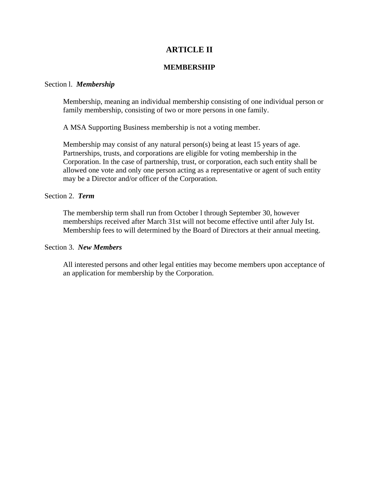# **ARTICLE II**

### **MEMBERSHIP**

#### Section l. *Membership*

Membership, meaning an individual membership consisting of one individual person or family membership, consisting of two or more persons in one family.

A MSA Supporting Business membership is not a voting member.

Membership may consist of any natural person(s) being at least 15 years of age. Partnerships, trusts, and corporations are eligible for voting membership in the Corporation. In the case of partnership, trust, or corporation, each such entity shall be allowed one vote and only one person acting as a representative or agent of such entity may be a Director and/or officer of the Corporation.

### Section 2. *Term*

The membership term shall run from October l through September 30, however memberships received after March 31st will not become effective until after July Ist. Membership fees to will determined by the Board of Directors at their annual meeting.

#### Section 3. *New Members*

All interested persons and other legal entities may become members upon acceptance of an application for membership by the Corporation.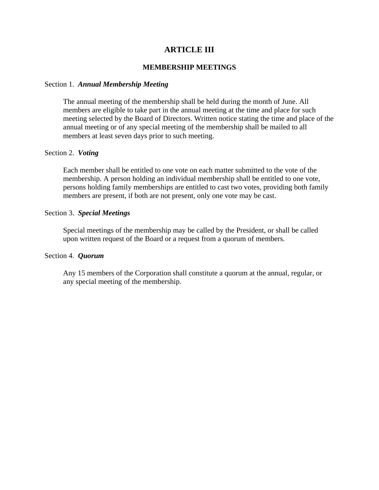# **ARTICLE III**

### **MEMBERSHIP MEETINGS**

#### Section 1. *Annual Membership Meeting*

The annual meeting of the membership shall be held during the month of June. All members are eligible to take part in the annual meeting at the time and place for such meeting selected by the Board of Directors. Written notice stating the time and place of the annual meeting or of any special meeting of the membership shall be mailed to all members at least seven days prior to such meeting.

### Section 2. *Voting*

Each member shall be entitled to one vote on each matter submitted to the vote of the membership. A person holding an individual membership shall be entitled to one vote, persons holding family memberships are entitled to cast two votes, providing both family members are present, if both are not present, only one vote may be cast.

### Section 3. *Special Meetings*

Special meetings of the membership may be called by the President, or shall be called upon written request of the Board or a request from a quorum of members.

### Section 4. *Quorum*

Any 15 members of the Corporation shall constitute a quorum at the annual, regular, or any special meeting of the membership.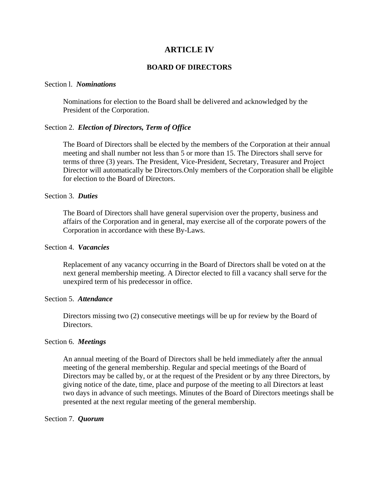# **ARTICLE IV**

### **BOARD OF DIRECTORS**

#### Section l. *Nominations*

Nominations for election to the Board shall be delivered and acknowledged by the President of the Corporation.

### Section 2. *Election of Directors, Term of Office*

The Board of Directors shall be elected by the members of the Corporation at their annual meeting and shall number not less than 5 or more than 15. The Directors shall serve for terms of three (3) years. The President, Vice-President, Secretary, Treasurer and Project Director will automatically be Directors.Only members of the Corporation shall be eligible for election to the Board of Directors.

#### Section 3. *Duties*

The Board of Directors shall have general supervision over the property, business and affairs of the Corporation and in general, may exercise all of the corporate powers of the Corporation in accordance with these By-Laws.

#### Section 4. *Vacancies*

Replacement of any vacancy occurring in the Board of Directors shall be voted on at the next general membership meeting. A Director elected to fill a vacancy shall serve for the unexpired term of his predecessor in office.

#### Section 5. *Attendance*

Directors missing two (2) consecutive meetings will be up for review by the Board of Directors.

#### Section 6. *Meetings*

An annual meeting of the Board of Directors shall be held immediately after the annual meeting of the general membership. Regular and special meetings of the Board of Directors may be called by, or at the request of the President or by any three Directors, by giving notice of the date, time, place and purpose of the meeting to all Directors at least two days in advance of such meetings. Minutes of the Board of Directors meetings shall be presented at the next regular meeting of the general membership.

#### Section 7. *Quorum*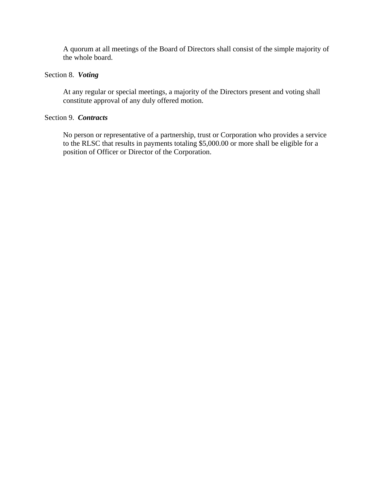A quorum at all meetings of the Board of Directors shall consist of the simple majority of the whole board.

# Section 8. *Voting*

At any regular or special meetings, a majority of the Directors present and voting shall constitute approval of any duly offered motion.

# Section 9. *Contracts*

No person or representative of a partnership, trust or Corporation who provides a service to the RLSC that results in payments totaling \$5,000.00 or more shall be eligible for a position of Officer or Director of the Corporation.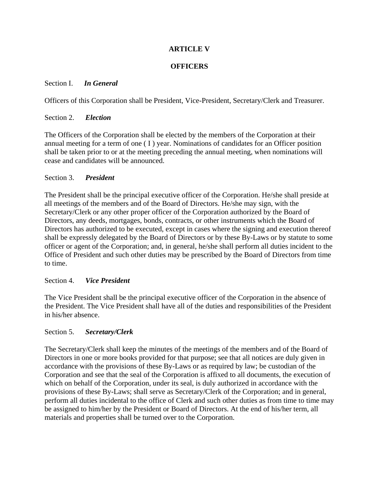# **ARTICLE V**

# **OFFICERS**

# Section I. *In General*

Officers of this Corporation shall be President, Vice-President, Secretary/Clerk and Treasurer.

# Section 2. *Election*

The Officers of the Corporation shall be elected by the members of the Corporation at their annual meeting for a term of one ( I ) year. Nominations of candidates for an Officer position shall be taken prior to or at the meeting preceding the annual meeting, when nominations will cease and candidates will be announced.

# Section 3. *President*

The President shall be the principal executive officer of the Corporation. He/she shall preside at all meetings of the members and of the Board of Directors. He/she may sign, with the Secretary/Clerk or any other proper officer of the Corporation authorized by the Board of Directors, any deeds, mortgages, bonds, contracts, or other instruments which the Board of Directors has authorized to be executed, except in cases where the signing and execution thereof shall be expressly delegated by the Board of Directors or by these By-Laws or by statute to some officer or agent of the Corporation; and, in general, he/she shall perform all duties incident to the Office of President and such other duties may be prescribed by the Board of Directors from time to time.

## Section 4. *Vice President*

The Vice President shall be the principal executive officer of the Corporation in the absence of the President. The Vice President shall have all of the duties and responsibilities of the President in his/her absence.

# Section 5. *Secretary/Clerk*

The Secretary/Clerk shall keep the minutes of the meetings of the members and of the Board of Directors in one or more books provided for that purpose; see that all notices are duly given in accordance with the provisions of these By-Laws or as required by law; be custodian of the Corporation and see that the seal of the Corporation is affixed to all documents, the execution of which on behalf of the Corporation, under its seal, is duly authorized in accordance with the provisions of these By-Laws; shall serve as Secretary/Clerk of the Corporation; and in general, perform all duties incidental to the office of Clerk and such other duties as from time to time may be assigned to him/her by the President or Board of Directors. At the end of his/her term, all materials and properties shall be turned over to the Corporation.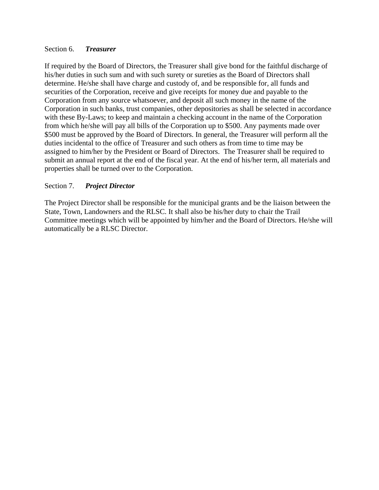## Section 6. *Treasurer*

If required by the Board of Directors, the Treasurer shall give bond for the faithful discharge of his/her duties in such sum and with such surety or sureties as the Board of Directors shall determine. He/she shall have charge and custody of, and be responsible for, all funds and securities of the Corporation, receive and give receipts for money due and payable to the Corporation from any source whatsoever, and deposit all such money in the name of the Corporation in such banks, trust companies, other depositories as shall be selected in accordance with these By-Laws; to keep and maintain a checking account in the name of the Corporation from which he/she will pay all bills of the Corporation up to \$500. Any payments made over \$500 must be approved by the Board of Directors. In general, the Treasurer will perform all the duties incidental to the office of Treasurer and such others as from time to time may be assigned to him/her by the President or Board of Directors. The Treasurer shall be required to submit an annual report at the end of the fiscal year. At the end of his/her term, all materials and properties shall be turned over to the Corporation.

# Section 7. *Project Director*

The Project Director shall be responsible for the municipal grants and be the liaison between the State, Town, Landowners and the RLSC. It shall also be his/her duty to chair the Trail Committee meetings which will be appointed by him/her and the Board of Directors. He/she will automatically be a RLSC Director.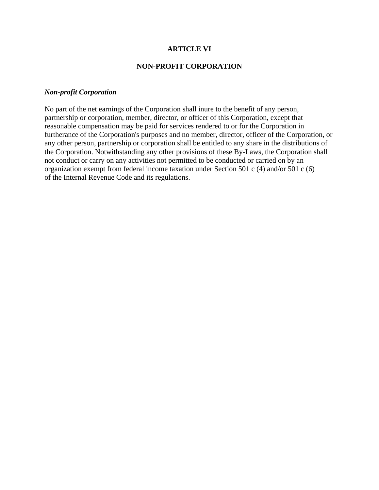## **ARTICLE VI**

### **NON-PROFIT CORPORATION**

### *Non-profit Corporation*

No part of the net earnings of the Corporation shall inure to the benefit of any person, partnership or corporation, member, director, or officer of this Corporation, except that reasonable compensation may be paid for services rendered to or for the Corporation in furtherance of the Corporation's purposes and no member, director, officer of the Corporation, or any other person, partnership or corporation shall be entitled to any share in the distributions of the Corporation. Notwithstanding any other provisions of these By-Laws, the Corporation shall not conduct or carry on any activities not permitted to be conducted or carried on by an organization exempt from federal income taxation under Section 501 c (4) and/or 501 c (6) of the Internal Revenue Code and its regulations.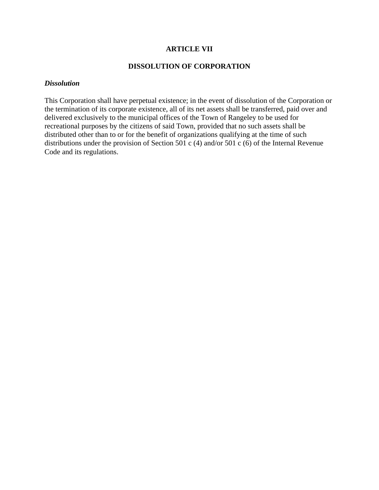# **ARTICLE VII**

# **DISSOLUTION OF CORPORATION**

### *Dissolution*

This Corporation shall have perpetual existence; in the event of dissolution of the Corporation or the termination of its corporate existence, all of its net assets shall be transferred, paid over and delivered exclusively to the municipal offices of the Town of Rangeley to be used for recreational purposes by the citizens of said Town, provided that no such assets shall be distributed other than to or for the benefit of organizations qualifying at the time of such distributions under the provision of Section 501 c (4) and/or 501 c (6) of the Internal Revenue Code and its regulations.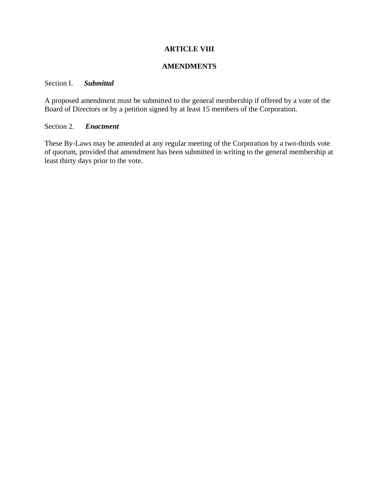# **ARTICLE VIII**

### **AMENDMENTS**

## Section I. *Submittal*

A proposed amendment must be submitted to the general membership if offered by a vote of the Board of Directors or by a petition signed by at least 15 members of the Corporation.

### Section 2. *Enactment*

These By-Laws may be amended at any regular meeting of the Corporation by a two-thirds vote of quorum, provided that amendment has been submitted in writing to the general membership at least thirty days prior to the vote.